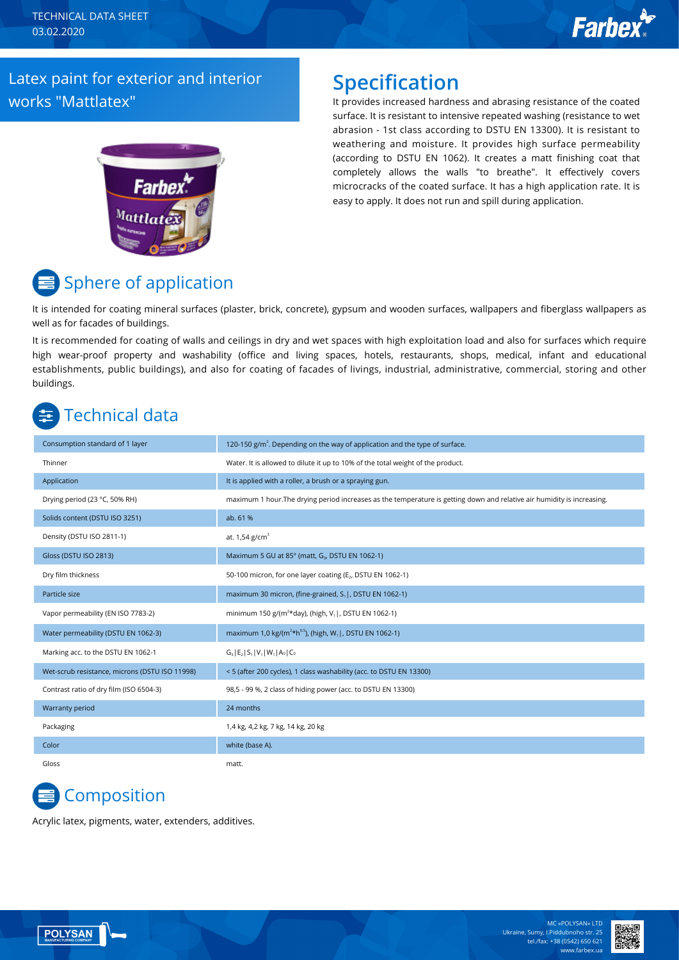TECHNICAL DATA SHEET 03.02.2020

## **Farbex**

#### Latex paint for exterior and interior works "Mattlatex"

# **Farbex**  $^{\rm{Matt}$ lat

### **Specification**

It provides increased hardness and abrasing resistance of the coated surface. It is resistant to intensive repeated washing (resistance to wet abrasion - 1st class according to DSTU EN 13300). It is resistant to weathering and moisture. It provides high surface permeability (according to DSTU EN 1062). It creates a matt finishing coat that completely allows the walls "to breathe". It effectively covers microcracks of the coated surface. It has a high application rate. It is easy to apply. It does not run and spill during application.



It is intended for coating mineral surfaces (plaster, brick, concrete), gypsum and wooden surfaces, wallpapers and fiberglass wallpapers as well as for facades of buildings.

It is recommended for coating of walls and ceilings in dry and wet spaces with high exploitation load and also for surfaces which require high wear-proof property and washability (office and living spaces, hotels, restaurants, shops, medical, infant and educational establishments, public buildings), and also for coating of facades of livings, industrial, administrative, commercial, storing and other buildings.

## Technical data

| Consumption standard of 1 layer                | 120-150 $g/m2$ . Depending on the way of application and the type of surface.                                           |
|------------------------------------------------|-------------------------------------------------------------------------------------------------------------------------|
| Thinner                                        | Water. It is allowed to dilute it up to 10% of the total weight of the product.                                         |
| Application                                    | It is applied with a roller, a brush or a spraying gun.                                                                 |
| Drying period (23 °C, 50% RH)                  | maximum 1 hour. The drying period increases as the temperature is getting down and relative air humidity is increasing. |
| Solids content (DSTU ISO 3251)                 | ab. 61 %                                                                                                                |
| Density (DSTU ISO 2811-1)                      | at. $1,54$ g/cm <sup>3</sup>                                                                                            |
| Gloss (DSTU ISO 2813)                          | Maximum 5 GU at 85° (matt, G <sub>3</sub> , DSTU EN 1062-1)                                                             |
| Dry film thickness                             | 50-100 micron, for one layer coating (E <sub>2</sub> , DSTU EN 1062-1)                                                  |
| Particle size                                  | maximum 30 micron, (fine-grained, S <sub>1</sub> ), DSTU EN 1062-1)                                                     |
| Vapor permeability (EN ISO 7783-2)             | minimum 150 g/(m <sup>2*</sup> day), (high, V <sub>1</sub> , DSTU EN 1062-1)                                            |
| Water permeability (DSTU EN 1062-3)            | maximum 1,0 kg/( $m^{2*}h^{0.5}$ ), (high, W <sub>1</sub> , DSTU EN 1062-1)                                             |
| Marking acc. to the DSTU EN 1062-1             | $G_3$   E <sub>2</sub>   S <sub>1</sub>   V <sub>1</sub>   W <sub>1</sub>   A <sub>0</sub>   C <sub>0</sub>             |
| Wet-scrub resistance, microns (DSTU ISO 11998) | <5 (after 200 cycles), 1 class washability (acc. to DSTU EN 13300)                                                      |
| Contrast ratio of dry film (ISO 6504-3)        | 98,5 - 99 %, 2 class of hiding power (acc. to DSTU EN 13300)                                                            |
| Warranty period                                | 24 months                                                                                                               |
| Packaging                                      | 1,4 kg, 4,2 kg, 7 kg, 14 kg, 20 kg                                                                                      |
| Color                                          | white (base A).                                                                                                         |

## Сomposition

Acrylic latex, pigments, water, extenders, additives.

Gloss matt.